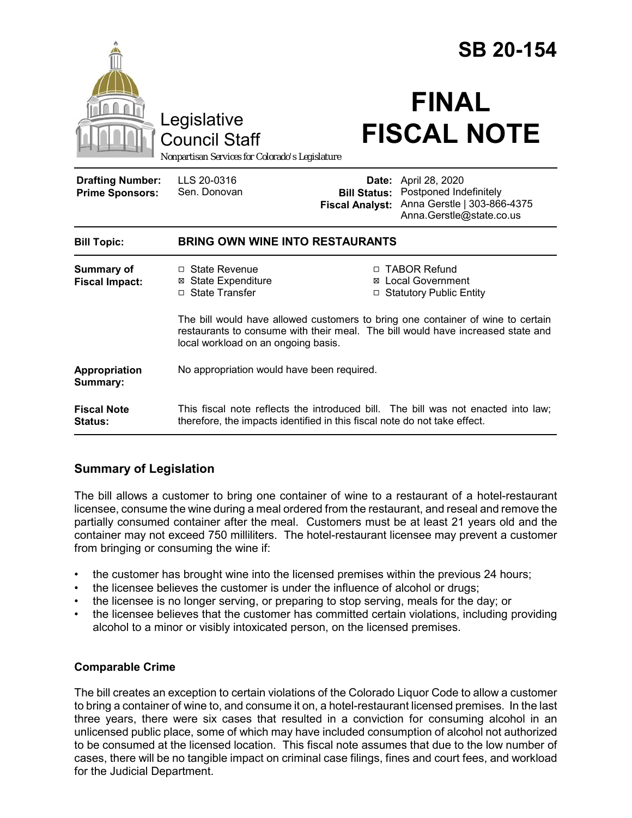|                                                   |                                                                                                                                                                                                           | <b>SB 20-154</b>                                                            |                                                                                                     |
|---------------------------------------------------|-----------------------------------------------------------------------------------------------------------------------------------------------------------------------------------------------------------|-----------------------------------------------------------------------------|-----------------------------------------------------------------------------------------------------|
|                                                   | Legislative<br><b>Council Staff</b><br>Nonpartisan Services for Colorado's Legislature                                                                                                                    |                                                                             | <b>FINAL</b><br><b>FISCAL NOTE</b>                                                                  |
| <b>Drafting Number:</b><br><b>Prime Sponsors:</b> | LLS 20-0316<br>Sen. Donovan                                                                                                                                                                               | Date:<br><b>Bill Status:</b><br><b>Fiscal Analyst:</b>                      | April 28, 2020<br>Postponed Indefinitely<br>Anna Gerstle   303-866-4375<br>Anna.Gerstle@state.co.us |
| <b>Bill Topic:</b>                                | <b>BRING OWN WINE INTO RESTAURANTS</b>                                                                                                                                                                    |                                                                             |                                                                                                     |
| <b>Summary of</b><br><b>Fiscal Impact:</b>        | □ State Revenue<br><b>⊠</b> State Expenditure<br>□ State Transfer                                                                                                                                         | □ TABOR Refund<br><b>Local Government</b><br>⊠<br>□ Statutory Public Entity |                                                                                                     |
|                                                   | The bill would have allowed customers to bring one container of wine to certain<br>restaurants to consume with their meal. The bill would have increased state and<br>local workload on an ongoing basis. |                                                                             |                                                                                                     |
| Appropriation<br>Summary:                         | No appropriation would have been required.                                                                                                                                                                |                                                                             |                                                                                                     |
| <b>Fiscal Note</b><br><b>Status:</b>              | This fiscal note reflects the introduced bill. The bill was not enacted into law;<br>therefore, the impacts identified in this fiscal note do not take effect.                                            |                                                                             |                                                                                                     |

# **Summary of Legislation**

The bill allows a customer to bring one container of wine to a restaurant of a hotel-restaurant licensee, consume the wine during a meal ordered from the restaurant, and reseal and remove the partially consumed container after the meal. Customers must be at least 21 years old and the container may not exceed 750 milliliters. The hotel-restaurant licensee may prevent a customer from bringing or consuming the wine if:

- the customer has brought wine into the licensed premises within the previous 24 hours;
- the licensee believes the customer is under the influence of alcohol or drugs;
- the licensee is no longer serving, or preparing to stop serving, meals for the day; or
- the licensee believes that the customer has committed certain violations, including providing alcohol to a minor or visibly intoxicated person, on the licensed premises.

## **Comparable Crime**

The bill creates an exception to certain violations of the Colorado Liquor Code to allow a customer to bring a container of wine to, and consume it on, a hotel-restaurant licensed premises. In the last three years, there were six cases that resulted in a conviction for consuming alcohol in an unlicensed public place, some of which may have included consumption of alcohol not authorized to be consumed at the licensed location. This fiscal note assumes that due to the low number of cases, there will be no tangible impact on criminal case filings, fines and court fees, and workload for the Judicial Department.